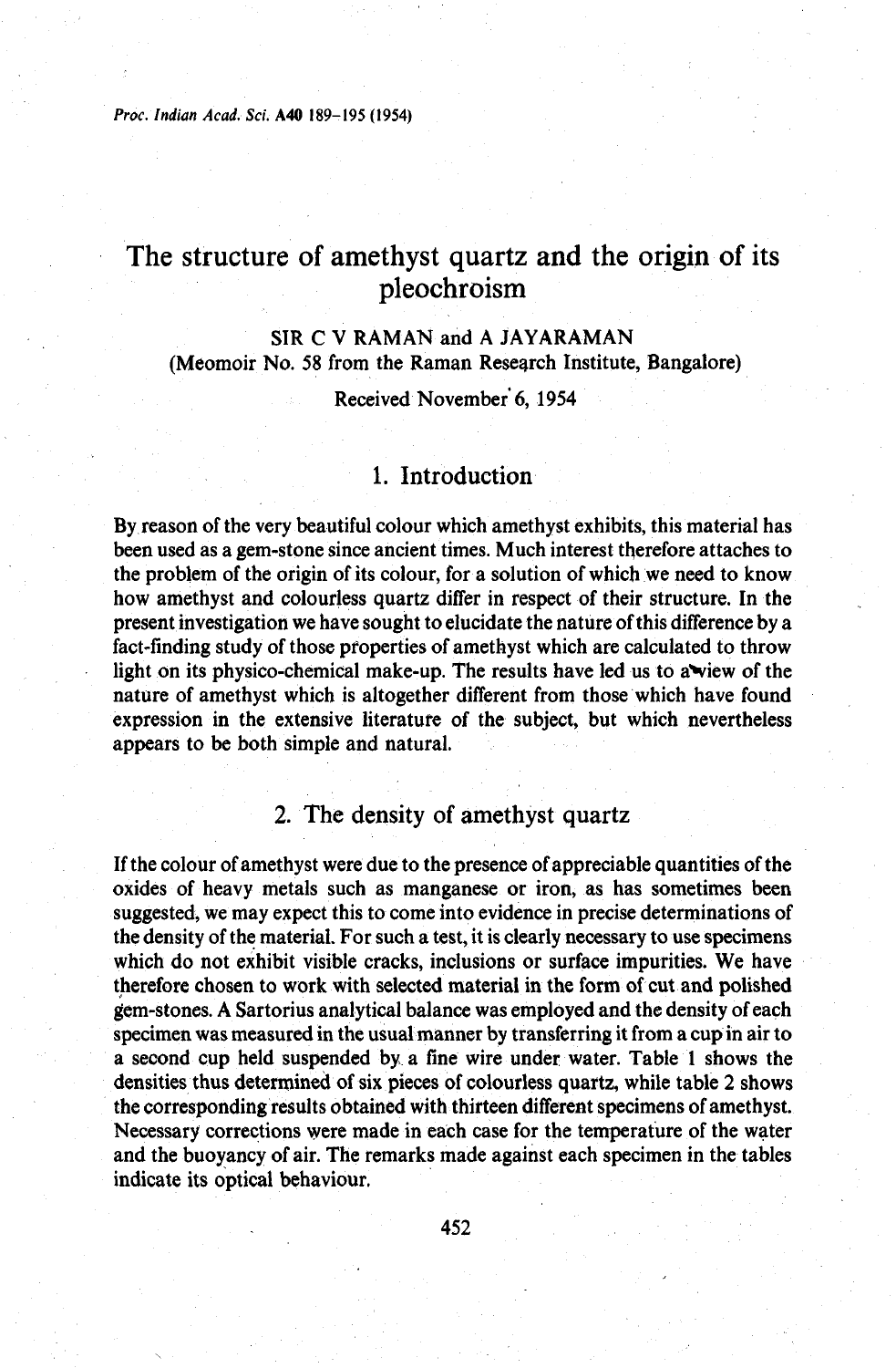*Proc.* **Indian Acad. Sci. A40 189-195 (1954)** 

# The structure of amethyst quartz and the origin of its pleochroism

SIR C V RAMAN and A JAYARAMAN (Meomoir No. 58 from the Raman Reseqrch Institute, Bangalore)

Received November 6, 1954

### 1. Introduction

By reason of the very beautiful colour which amethyst exhibits, this material has been used as a gem-stone since ancient times. Much interest therefore attaches to the problem of the origin of its colour, for a solution of which we need to know how amethyst and colourless quartz differ in respect of their structure. In the present investigation we have sought to elucidate the nature of this difference by a fact-finding study of those properties of amethyst which are calculated to throw light on its physico-chemical make-up. The results have led us to awiew of the nature of amethyst which is altogether different from those which have found expression in the extensive literature of the subject, but which nevertheless appears to be both simple and natural.

## 2. The density of amethyst quartz

If the colour of amethyst were due to the presence of appreciable quantities of the oxides of heavy metals such as manganese or iron, as has sometimes been suggested, we may expect this to come into evidence in precise determinations of the density of the material. For such a test, it is clearly necessary to use specimens which do not exhibit visible cracks, inclusions or surface impurities. We have therefore chosen to work with selected material in the form of cut and polished gem-stones. A Sartorius analytical balance was employed and the density of each specimen was measured in the usual manner by transferring it from a cup in air to a second cup held suspended by a fine wire under water. Table 1 shows the densities thus determined of six pieces of colourless quartz, while table 2 shows the corresponding results obtained with thirteen different specimens of amethyst. Necessary corrections were made in each case for the temperature of the water and the buoyancy of air. The remarks made against each specimen in the tables indicate its optical behaviour.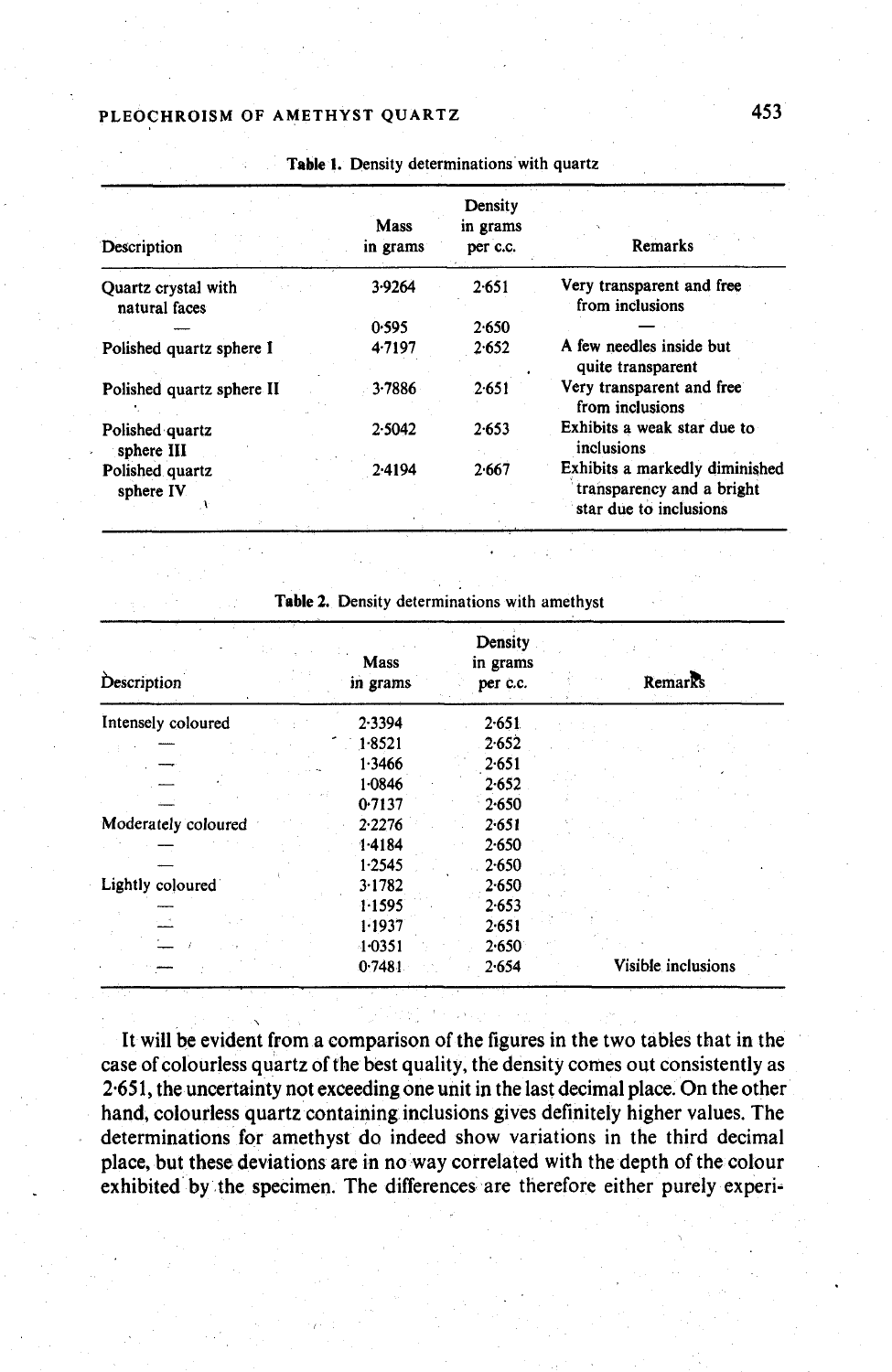| Description                          | Mass<br>in grams | Density<br>in grams<br>per c.c. | Remarks                                                                               |
|--------------------------------------|------------------|---------------------------------|---------------------------------------------------------------------------------------|
| Quartz crystal with<br>natural faces | 3.9264           | 2.651                           | Very transparent and free<br>from inclusions                                          |
|                                      | 0.595            | 2.650                           |                                                                                       |
| Polished quartz sphere I             | 4.7197           | 2.652                           | A few needles inside but<br>quite transparent                                         |
| Polished quartz sphere II            | 3.7886           | 2.651                           | Very transparent and free<br>from inclusions                                          |
| Polished quartz<br>sphere III        | 2.5042           | 2.653                           | Exhibits a weak star due to<br>inclusions                                             |
| Polished quartz<br>sphere IV         | 2.4194           | 2.667                           | Exhibits a markedly diminished<br>transparency and a bright<br>star due to inclusions |

Table 1. Density determinations with quartz

#### Table 2. Density determinations with amethyst

| Description         | Mass<br>in grams | Density<br>in grams<br>per c.c. | Remarks            |
|---------------------|------------------|---------------------------------|--------------------|
| Intensely coloured  | 2.3394           | 2.651                           |                    |
|                     | 1.8521           | 2.652                           |                    |
|                     | 1.3466           | 2.651                           |                    |
|                     | 1.0846           | 2.652                           |                    |
|                     | 0.7137           | 2.650                           |                    |
| Moderately coloured | 2.2276           | 2.651                           |                    |
|                     | 1.4184           | 2.650                           |                    |
|                     | 1.2545           | 2.650                           |                    |
| Lightly coloured    | 3.1782           | 2.650                           |                    |
|                     | 1.1595           | 2.653                           |                    |
| e i A               | 1.1937           | 2.651                           |                    |
|                     | $-1 - 0351$      | 2.650                           |                    |
|                     | 0.7481           | 2.654                           | Visible inclusions |

It will be evident from a comparison of the figures in the two tables that in the case of colourless quartz of the best quality, the density comes out consistently as 2.65 1, the uncertainty not exceeding one unit in the last decimal place. On the other hand, colourless quartz containing inclusions gives definitely higher values. The determinations for amethyst do indeed show variations in the third decimal place, but these deviations are in no way correlated with the depth of the colour exhibited by the specimen. The differences are therefore either purely experi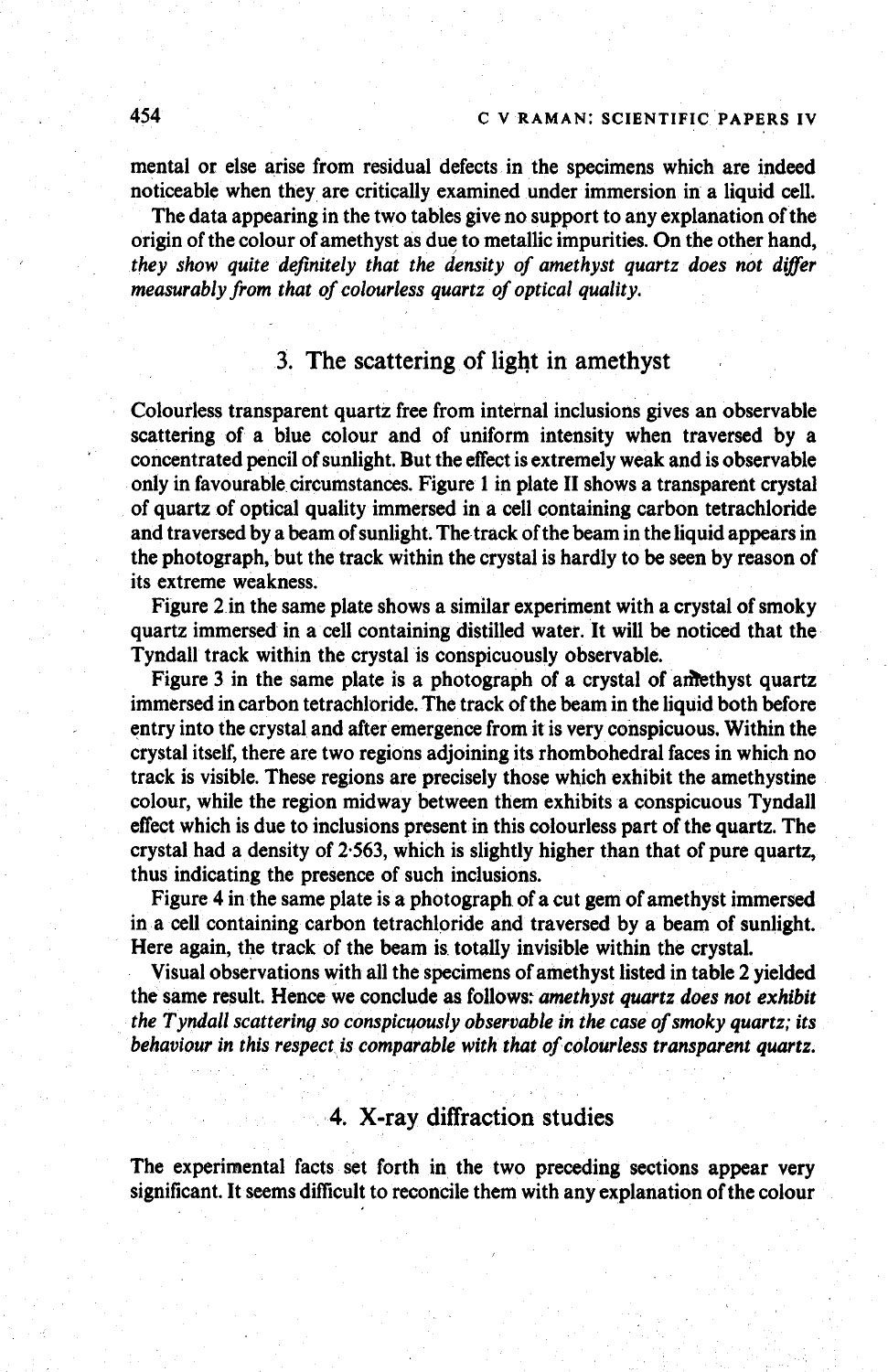mental or else arise from residual defects in the specimens which are indeed noticeable when they are critically examined under immersion in a liquid cell.

The data appearing in the two tables give no support to any explanation of the origin of the colour of amethyst as due to metallic impurities. On the other hand, they show quite definitely that the density of amethyst quartz does not differ *measurably from that of colourless quartz of optical quality.* 

### 3. The scattering of light in amethyst

Colourless transparent quartz free from internal inclusions gives an observable scattering of a blue colour and of uniform intensity when traversed by a concentrated pencil of sunlight. But the effect is extremely weak and is observable only in favourable circumstances. Figure 1 in plate I1 shows a transparent crystal of quartz of optical quality immersed in a cell containing carbon tetrachloride and traversed by a beam of sunlight. The track of the beam in the liquid appears in the photograph, but the track within the crystal is hardly to be seen by reason of its extreme weakness.

Figure 2 in the same plate shows a similar experiment with a crystal of smoky quartz immersed in a cell containing distilled water. It will be noticed that the Tyndall track within the crystal is conspicuously observable.

Figure 3 in the same plate is a photograph of a crystal of anterimmersed in carbon tetrachloride. The track of the beam in the liquid both before entry into the crystal and after emergence from it is very conspicuous. Within the crystal itself, there are two regions adjoining its rhombohedra1 faces in which no track is visible. These regions are precisely those which exhibit the amethystine colour, while the region midway between them exhibits a conspicuous Tyndall effect which is due to inclusions present in this colourless part of the quartz. The crystal had a density of 2.563, which is slightly higher than that of pure quartz, thus indicating the presence of such inclusions.

Figure 4 in the same plate is a photograph of a cut gem of amethyst immersed in a cell containing carbon tetrachloride and traversed by a beam of sunlight. Here again, the track of the beam is totally invisible within the crystal.

Visual observations with all the specimens of amethyst listed in table 2 yielded the same result. Hence we conclude as follows: *amethyst quartz does not exhibit the Tyndall scattering so conspicyously observable in the case of smoky quartz; its behaviour in this respect is comparable with that of colourless transparent quartz.* 

## 4. X-ray diffraction studies

The experimental facts set forth in the two preceding sections appear very significant. It seems difficult to reconcile them with any explanation of the colour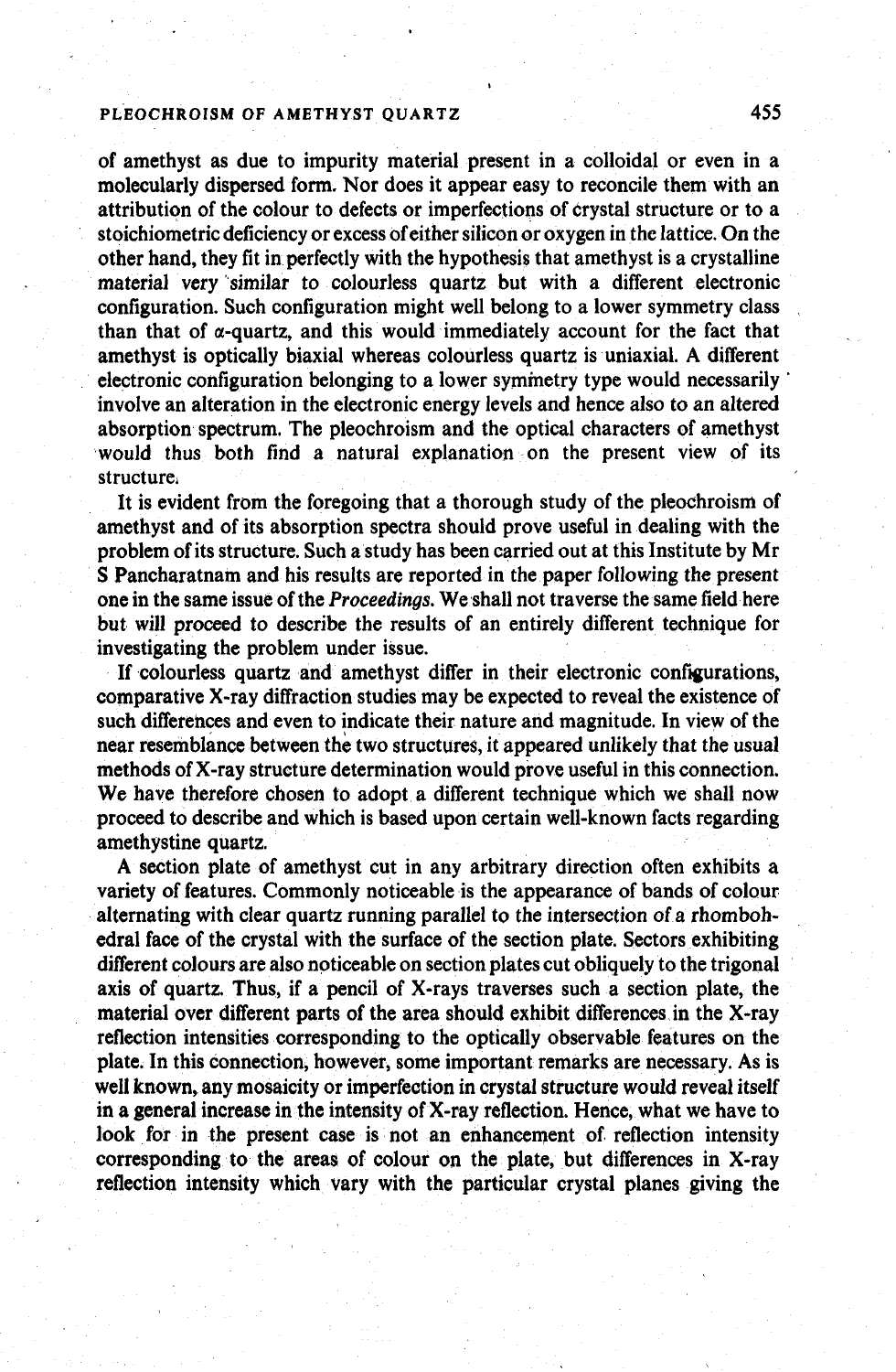of amethyst as due to impurity material present in a colloidal or even in a molecularly dispersed form. Nor does it appear easy to reconcile them with an attribution of the colour to defects or imperfections of crystal structure or to a stoichiometric deficiency or excess ofeither silicon or oxygen in the lattice. On the other hand, they fit in perfectly with the hypothesis that amethyst is a crystalline material very 'similar to colourless quartz but with a different electronic configuration. Such configuration might well belong to a lower symmetry class than that of  $\alpha$ -quartz, and this would immediately account for the fact that amethyst is optically biaxial whereas colourless quartz is uniaxial. A different electronic configuration belonging to a lower syminetry type would necessarily ' involve an alteration in the electronic energy levels and hence also to an altered absorption spectrum. The pleochroism and the optical characters of amethyst would thus both find a natural explanation on the present view of its structure,

It is evident from the foregoing that a thorough study of the pleochroism of amethyst and of its absorption spectra should prove useful in dealing with the problem of its structure. Such a study has been carried out at this Institute by Mr S Pancharatnam and his results are reported in the paper following the present one in the same issue of the Proceedings. We shall not traverse the same field here but will proceed to describe the results of an entirely different technique for investigating the problem under issue.

If colourless quartz and amethyst differ in their electronic configurations, comparative X-ray diffraction studies may be expected to reveal the existence of such differehces and even to indicate their nature and magnitude. In view of the near resemblance between the two structures, it appeared unlikely that the usual methods of X-ray structure determination would prove useful in this connection. We have therefore chosen to adopt a different technique which we shall now proceed to describe and which is based upon certain well-known facts regarding amethystine quartz.

A section plate of amethyst cut in any arbitrary direction often exhibits a variety of features. Commonly noticeable is the appearance of bands of colour alternating with clear quartz running parallel to the intersection of a rhombohedral face of the crystal with the surface of the section plate. Sectors exhibiting different colours are also noticeable on section plates cut obliquely to the trigonal axis of quartz. Thus, if a pencil of X-rays traverses such a section plate, the material over different parts of the area should exhibit differences in the X-ray reflection intensities corresponding to the optically observable features on the plate. In this connection, however, some important remarks are necessary. As is well known, any mosaicity or imperfection in crystal structure would reveal itself in a general increase in the intensity of X-ray reflection. Hence, what we have to look for in the present case is not an enhancement of reflection intensity corresponding to the areas of colour on the plate, but differences in X-ray reflection intensity which vary with the particular crystal planes giving the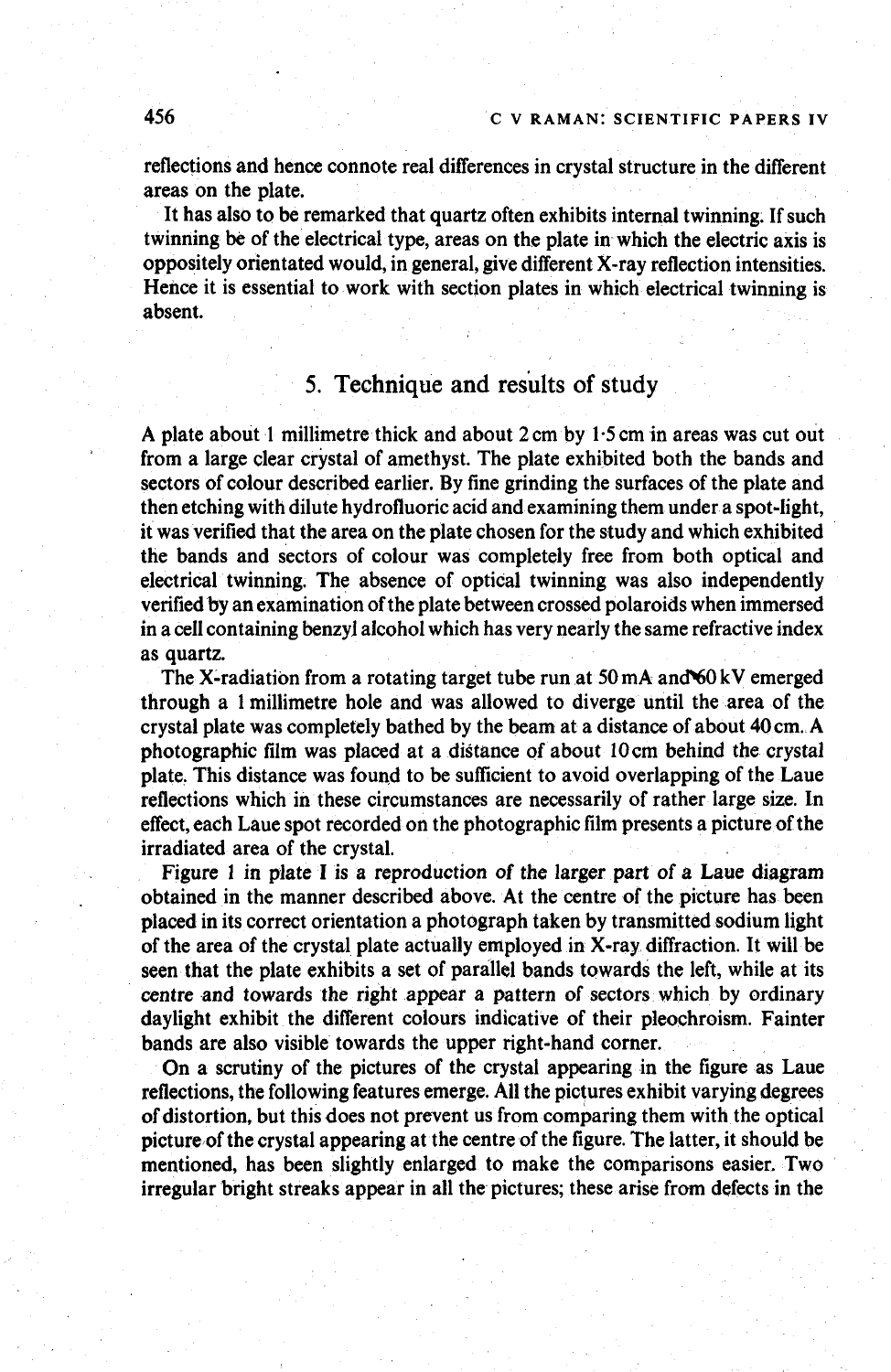reflections and hence connote real differences in crystal structure in the different areas on the plate.

It has also to be remarked that quartz often exhibits internal twinning. If such twinning be of the electrical type, areas on the plate in which the electric axis is oppositely orientated would, in general, give different X-ray reflection intensities. Hence it is essential to work with section plates in which electrical twinning is absent.

## 5. Technique and results of study

**A** plate about 1 millimetre thick and about 2 cm by 1.5 cm in areas was cut out from a large clear crystal of amethyst. The plate exhibited both the bands and sectors of colour described earlier. By fine grinding the surfaces of the plate and then etching with dilute hydrofluoric acid and examining them under a spot-light, it was verified that the area on the plate chosen for the study and which exhibited the bands and sectors of colour was completely free from both optical and electrical twinning. The absence of optical twinning was also independently verified by an examination of the plate between crossed polaroids when immersed in a cell containing benzyl alcohol which has very nearly the same refractive index as quartz.

The X-radiation from a rotating target tube run at  $50 \text{ mA}$  and  $60 \text{ kV}$  emerged through a 1 millimetre hole and was allowed to diverge until the area of the crystal plate was completely bathed by the beam at a distance of about 40cm. **A**  photographic film was placed at a distance of about lOcm behind the crystal plate. This distance was found to be sufficient to avoid overlapping of the Laue reflections which in these circumstances are necessarily of rather large size. In effect, each Laue spot recorded on the photographic film presents a picture of the irradiated area of the crystal.

Figure 1 in plate I is a reproduction of the larger part of a Laue diagram obtained in the manner described above. At the centre of the picture has been placed in its correct orientation a photograph taken by transmitted sodium light of the area of the crystal plate actually employed in X-ray diffraction. It will be seen that the plate exhibits a set of parallel bands towards the left, while at its centre and towards the right appear a pattern of sectors which by ordinary daylight exhibit the different colours indicative of their pleochroism. Fainter bands are also visible towards the upper right-hand corner.

On a scrutiny of the pictures of the crystal appearing in the figure as Laue reflections, the following features emerge. A11 the pictures exhibit varying degrees of distortion, but thisdoes not prevent us from comparing them with the optical picture of the crystal appearing at the centre of the figure. The latter, it should be mentioned, has been slightly enlarged to make the comparisons easier. Two irregular bright streaks appear in all the pictures; these arise from defects in the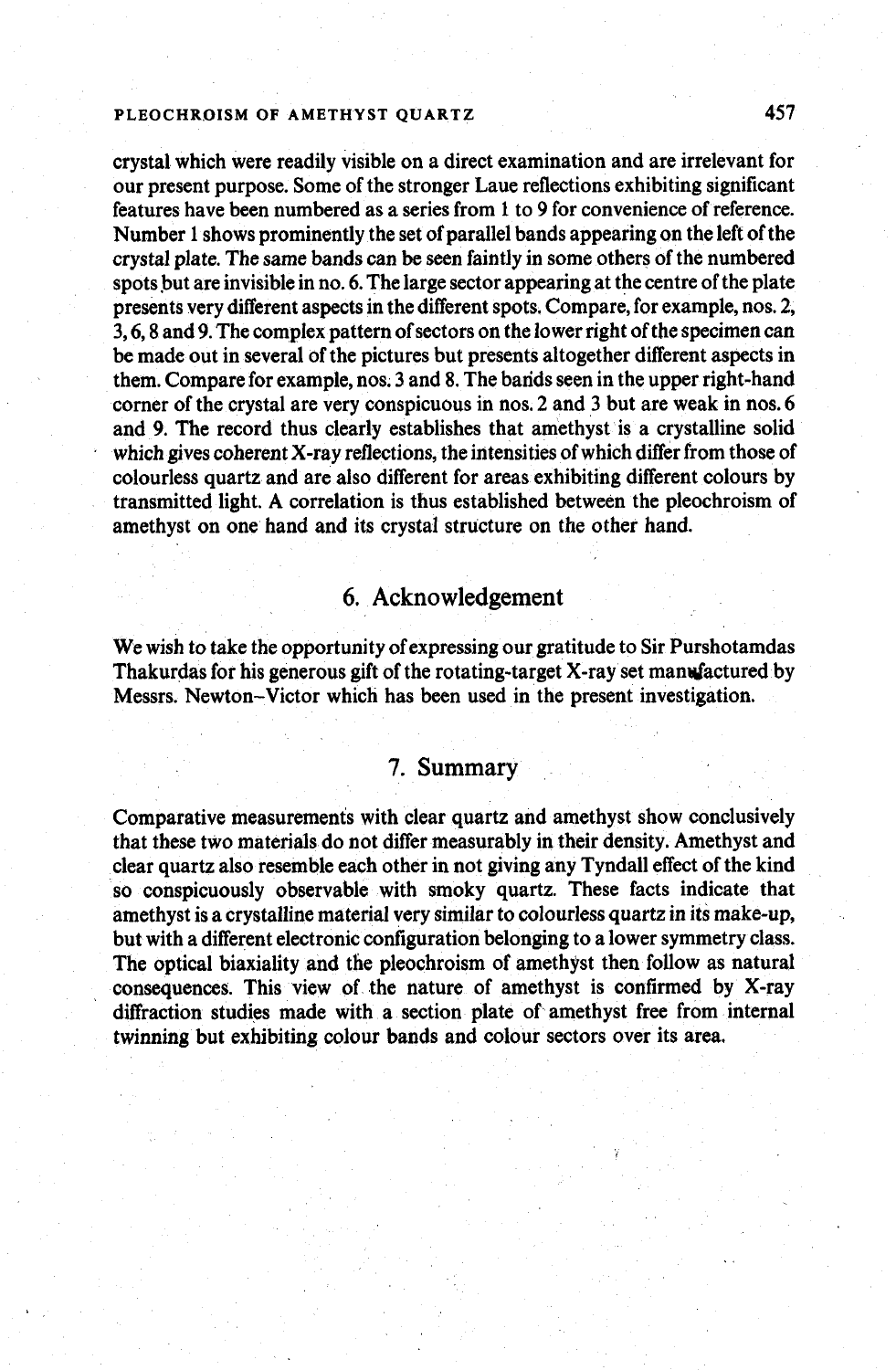crystal which were readily visible on a direct examination and are irrelevant for our present purpose. Some of the stronger Laue reflections exhibiting significant features have been numbered as a series from 1 to 9 for convenience of reference. Number 1 shows prominently the set of parallel bands appearing on the left of the crystal plate. The same bands can be seen faintly in some others of the numbered spots but are invisible in no. 6. The large sector appearing at the centre of the plate presents very different aspects in the different spots. Compare, for example, nos. 2, 3,6,8 and 9. The complex pattern of sectors on the lower right of the specimen can be made out in several of the pictures but presents altogether different aspects in them. Compare for example, nos. 3 and 8. The bands seen in the upper right-hand corner of the crystal are very conspicuous in nos. 2 and 3 but are weak in nos. 6 and 9. The record thus clearly establishes that amethyst is a crystalline solid which gives coherent X-ray reflections, the intensities of which differ from those of colourless quartz and are also different for areas exhibiting different colours by transmitted light. A correlation is thus established between the pleochroism of amethyst on one hand and its crystal structure on the other hand.

## 6. Acknowledgement

We wish to take the opportunity of expressing our gratitude to Sir Purshotamdas Thakurdas for his generous gift of the rotating-target X-ray set manufactured by Messrs. Newton-Victor which has been used in the present investigation.

## 7. Summary

Comparative measurements with clear quartz and amethyst show conclusively that these two materials do not differ measurably in their density. Amethyst and clear quartz also resemble each other in not giving any Tyndall effect of the kind so conspicuously observable with smoky quartz. These facts indicate that amethyst is a crystalline material very similar to colourless quartz in its make-up, but with a different electronic configuration belonging to a lower symmetry class. The optical biaxiality and the pleochroism of amethyst then follow as natural consequences. This view of the nature of amethyst is confirmed by X-ray diffraction studies made with a section plate of amethyst free from internal twinning but exhibiting colour bands and colour sectors over its area.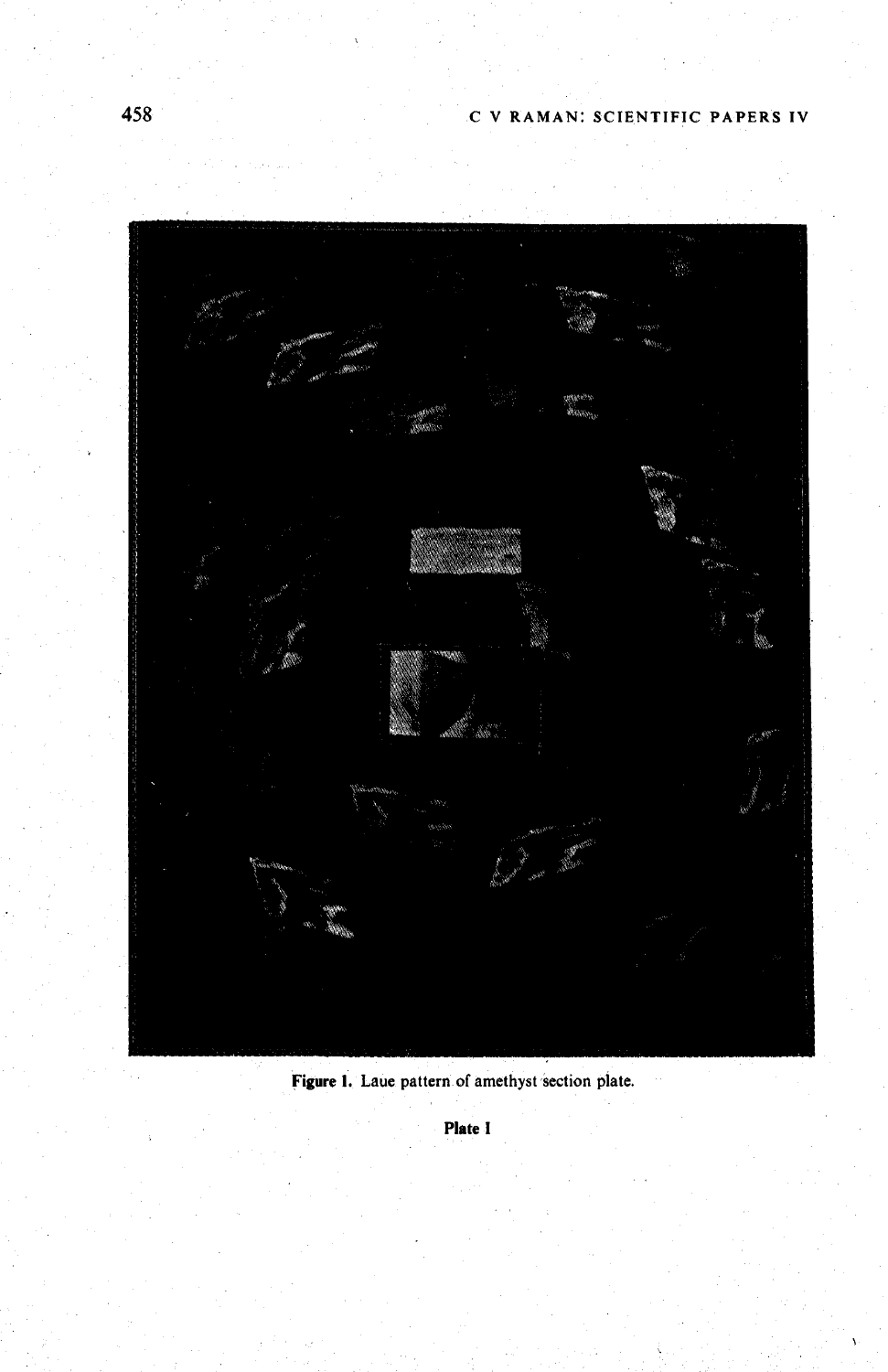



**Plate I**